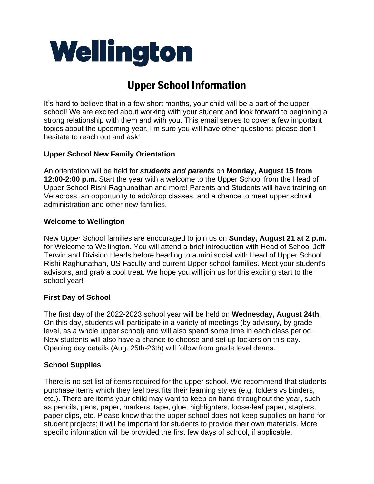# Wellington

# Upper School Information

It's hard to believe that in a few short months, your child will be a part of the upper school! We are excited about working with your student and look forward to beginning a strong relationship with them and with you. This email serves to cover a few important topics about the upcoming year. I'm sure you will have other questions; please don't hesitate to reach out and ask!

# **Upper School New Family Orientation**

An orientation will be held for *students and parents* on **Monday, August 15 from 12:00-2:00 p.m.** Start the year with a welcome to the Upper School from the Head of Upper School Rishi Raghunathan and more! Parents and Students will have training on Veracross, an opportunity to add/drop classes, and a chance to meet upper school administration and other new families.

## **Welcome to Wellington**

New Upper School families are encouraged to join us on **Sunday, August 21 at 2 p.m.** for Welcome to Wellington. You will attend a brief introduction with Head of School Jeff Terwin and Division Heads before heading to a mini social with Head of Upper School Rishi Raghunathan, US Faculty and current Upper school families. Meet your student's advisors, and grab a cool treat. We hope you will join us for this exciting start to the school year!

# **First Day of School**

The first day of the 2022-2023 school year will be held on **Wednesday, August 24th**. On this day, students will participate in a variety of meetings (by advisory, by grade level, as a whole upper school) and will also spend some time in each class period. New students will also have a chance to choose and set up lockers on this day. Opening day details (Aug. 25th-26th) will follow from grade level deans.

### **School Supplies**

There is no set list of items required for the upper school. We recommend that students purchase items which they feel best fits their learning styles (e.g. folders vs binders, etc.). There are items your child may want to keep on hand throughout the year, such as pencils, pens, paper, markers, tape, glue, highlighters, loose-leaf paper, staplers, paper clips, etc. Please know that the upper school does not keep supplies on hand for student projects; it will be important for students to provide their own materials. More specific information will be provided the first few days of school, if applicable.